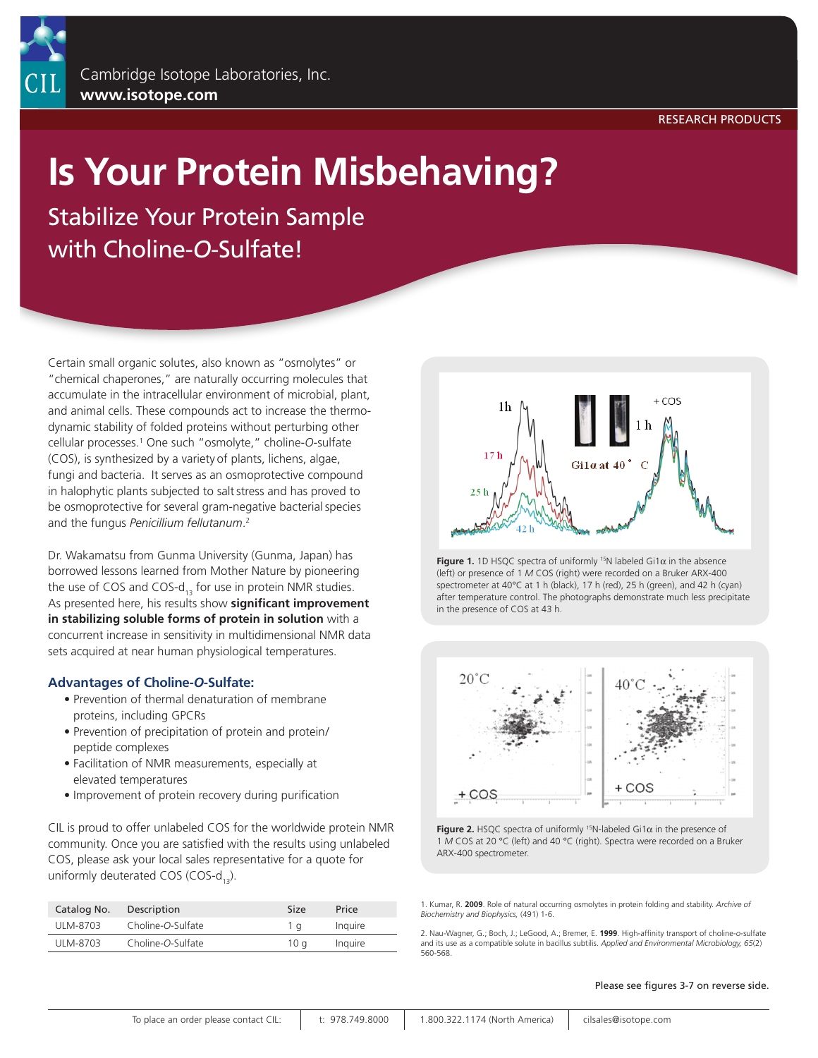## **Is Your Protein Misbehaving?**

Stabilize Your Protein Sample with Choline-*O*-Sulfate!

Certain small organic solutes, also known as "osmolytes" or "chemical chaperones," are naturally occurring molecules that accumulate in the intracellular environment of microbial, plant, and animal cells. These compounds act to increase the thermodynamic stability of folded proteins without perturbing other cellular processes.1 One such "osmolyte," choline-*O*-sulfate (COS), is synthesized by a variety of plants, lichens, algae, fungi and bacteria. It serves as an osmoprotective compound in halophytic plants subjected to saltstress and has proved to be osmoprotective for several gram-negative bacterial species and the fungus *Penicillium fellutanum*. 2

Dr. Wakamatsu from Gunma University (Gunma, Japan) has borrowed lessons learned from Mother Nature by pioneering the use of COS and COS- $d_{13}$  for use in protein NMR studies. As presented here, his results show **significant improvement in stabilizing soluble forms of protein in solution** with a concurrent increase in sensitivity in multidimensional NMR data sets acquired at near human physiological temperatures.

## **Advantages of Choline-***O***-Sulfate:**

- Prevention of thermal denaturation of membrane proteins, including GPCRs
- Prevention of precipitation of protein and protein/ peptide complexes
- Facilitation of NMR measurements, especially at elevated temperatures
- Improvement of protein recovery during purification

CIL is proud to offer unlabeled COS for the worldwide protein NMR community. Once you are satisfied with the results using unlabeled COS, please ask your local sales representative for a quote for uniformly deuterated COS (COS- $d_{12}$ ).

| Catalog No. | Description       | Size | Price   |
|-------------|-------------------|------|---------|
| ULM-8703    | Choline-O-Sulfate | 1 a  | Inquire |
| ULM-8703    | Choline-O-Sulfate | 10 a | Inquire |



**Figure 1.** 1D HSQC spectra of uniformly <sup>15</sup>N labeled Gi1 $\alpha$  in the absence (left) or presence of 1 *M* COS (right) were recorded on a Bruker ARX-400 spectrometer at 40°C at 1 h (black), 17 h (red), 25 h (green), and 42 h (cyan) after temperature control. The photographs demonstrate much less precipitate in the presence of COS at 43 h.



**Figure 2.** HSQC spectra of uniformly 15N-labeled Gi1α in the presence of 1 *M* COS at 20 °C (left) and 40 °C (right). Spectra were recorded on a Bruker ARX-400 spectrometer.

1. Kumar, R. **2009**. Role of natural occurring osmolytes in protein folding and stability. *Archive of Biochemistry and Biophysics,* (491) 1-6.

2. Nau-Wagner, G.; Boch, J.; LeGood, A.; Bremer, E. **1999**. High-affinity transport of choline-*o*-sulfate and its use as a compatible solute in bacillus subtilis. *Applied and Environmental Microbiology, 65*(2) 560-568.

Please see figures 3-7 on reverse side.